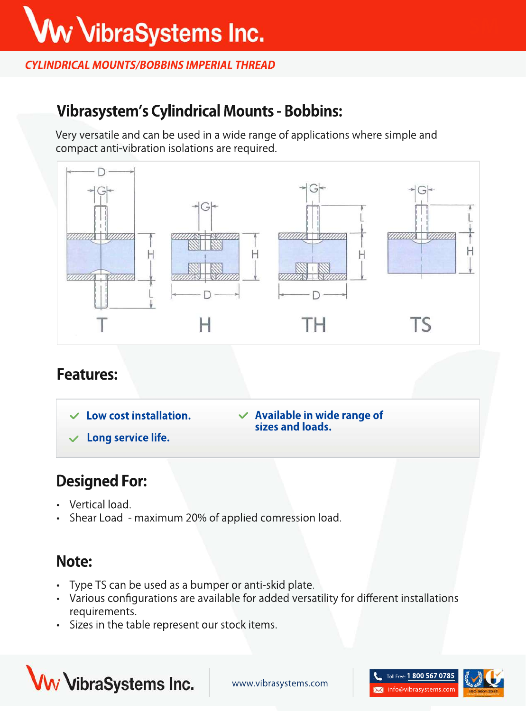#### **CYLINDRICAL MOUNTS/BOBBINS IMPERIAL THREAD**

## **Vibrasystem'sCylindricalMounts-Bobbins:**

Very versatile and can be used in a wide range of applications where simple and compact anti-vibration isolations are required.



#### **Features:**

**Long service life. Availableinwiderangeof** sizes and loads. **Lowcostinstallation.**

## **Designed For:**

- Vertical load.
- Shear Load maximum 20% of applied comression load.

### **Note:**

- Type TS can be used as a bumper or anti-skid plate.
- Various configurations are available for added versatility for different installations requirements.
- Sizes in the table represent our stock items.